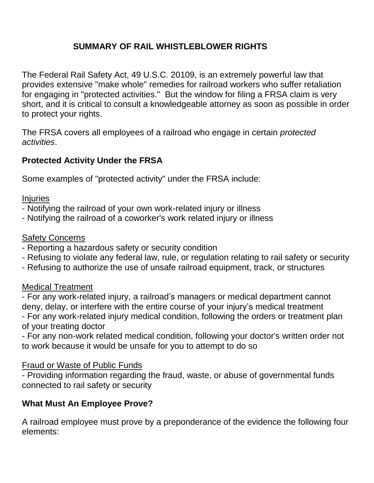# **SUMMARY OF RAIL WHISTLEBLOWER RIGHTS**

The Federal Rail Safety Act, 49 U.S.C. 20109, is an extremely powerful law that provides extensive "make whole" remedies for railroad workers who suffer retaliation for engaging in "protected activities." But the window for filing a FRSA claim is very short, and it is critical to consult a knowledgeable attorney as soon as possible in order to protect your rights.

The FRSA covers all employees of a railroad who engage in certain *protected activities*.

## **Protected Activity Under the FRSA**

Some examples of "protected activity" under the FRSA include:

**Injuries** 

- Notifying the railroad of your own work-related injury or illness
- Notifying the railroad of a coworker's work related injury or illness

### Safety Concerns

- Reporting a hazardous safety or security condition
- Refusing to violate any federal law, rule, or regulation relating to rail safety or security
- Refusing to authorize the use of unsafe railroad equipment, track, or structures

### Medical Treatment

- For any work-related injury, a railroad's managers or medical department cannot deny, delay, or interfere with the entire course of your injury's medical treatment - For any work-related injury medical condition, following the orders or treatment plan of your treating doctor

- For any non-work related medical condition, following your doctor's written order not to work because it would be unsafe for you to attempt to do so

### Fraud or Waste of Public Funds

- Providing information regarding the fraud, waste, or abuse of governmental funds connected to rail safety or security

### **What Must An Employee Prove?**

A railroad employee must prove by a preponderance of the evidence the following four elements: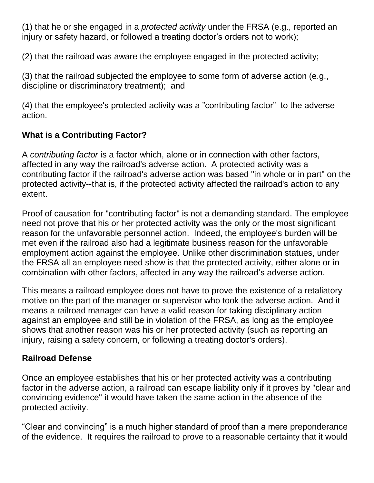(1) that he or she engaged in a *protected activity* under the FRSA (e.g., reported an injury or safety hazard, or followed a treating doctor's orders not to work);

(2) that the railroad was aware the employee engaged in the protected activity;

(3) that the railroad subjected the employee to some form of adverse action (e.g., discipline or discriminatory treatment); and

(4) that the employee's protected activity was a "contributing factor" to the adverse action.

# **What is a Contributing Factor?**

A *contributing factor* is a factor which, alone or in connection with other factors, affected in any way the railroad's adverse action. A protected activity was a contributing factor if the railroad's adverse action was based "in whole or in part" on the protected activity--that is, if the protected activity affected the railroad's action to any extent.

Proof of causation for "contributing factor" is not a demanding standard. The employee need not prove that his or her protected activity was the only or the most significant reason for the unfavorable personnel action. Indeed, the employee's burden will be met even if the railroad also had a legitimate business reason for the unfavorable employment action against the employee. Unlike other discrimination statues, under the FRSA all an employee need show is that the protected activity, either alone or in combination with other factors, affected in any way the railroad's adverse action.

This means a railroad employee does not have to prove the existence of a retaliatory motive on the part of the manager or supervisor who took the adverse action. And it means a railroad manager can have a valid reason for taking disciplinary action against an employee and still be in violation of the FRSA, as long as the employee shows that another reason was his or her protected activity (such as reporting an injury, raising a safety concern, or following a treating doctor's orders).

# **Railroad Defense**

Once an employee establishes that his or her protected activity was a contributing factor in the adverse action, a railroad can escape liability only if it proves by "clear and convincing evidence" it would have taken the same action in the absence of the protected activity.

"Clear and convincing" is a much higher standard of proof than a mere preponderance of the evidence. It requires the railroad to prove to a reasonable certainty that it would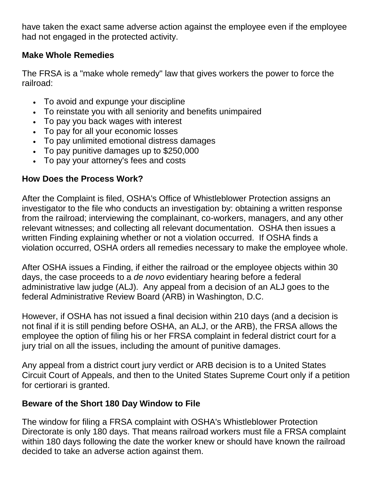have taken the exact same adverse action against the employee even if the employee had not engaged in the protected activity.

## **Make Whole Remedies**

The FRSA is a "make whole remedy" law that gives workers the power to force the railroad:

- To avoid and expunge your discipline
- To reinstate you with all seniority and benefits unimpaired
- To pay you back wages with interest
- To pay for all your economic losses
- To pay unlimited emotional distress damages
- To pay punitive damages up to \$250,000
- To pay your attorney's fees and costs

### **How Does the Process Work?**

After the Complaint is filed, OSHA's Office of Whistleblower Protection assigns an investigator to the file who conducts an investigation by: obtaining a written response from the railroad; interviewing the complainant, co-workers, managers, and any other relevant witnesses; and collecting all relevant documentation. OSHA then issues a written Finding explaining whether or not a violation occurred. If OSHA finds a violation occurred, OSHA orders all remedies necessary to make the employee whole.

After OSHA issues a Finding, if either the railroad or the employee objects within 30 days, the case proceeds to a *de novo* evidentiary hearing before a federal administrative law judge (ALJ). Any appeal from a decision of an ALJ goes to the federal Administrative Review Board (ARB) in Washington, D.C.

However, if OSHA has not issued a final decision within 210 days (and a decision is not final if it is still pending before OSHA, an ALJ, or the ARB), the FRSA allows the employee the option of filing his or her FRSA complaint in federal district court for a jury trial on all the issues, including the amount of punitive damages.

Any appeal from a district court jury verdict or ARB decision is to a United States Circuit Court of Appeals, and then to the United States Supreme Court only if a petition for certiorari is granted.

# **Beware of the Short 180 Day Window to File**

The window for filing a FRSA complaint with OSHA's Whistleblower Protection Directorate is only 180 days. That means railroad workers must file a FRSA complaint within 180 days following the date the worker knew or should have known the railroad decided to take an adverse action against them.